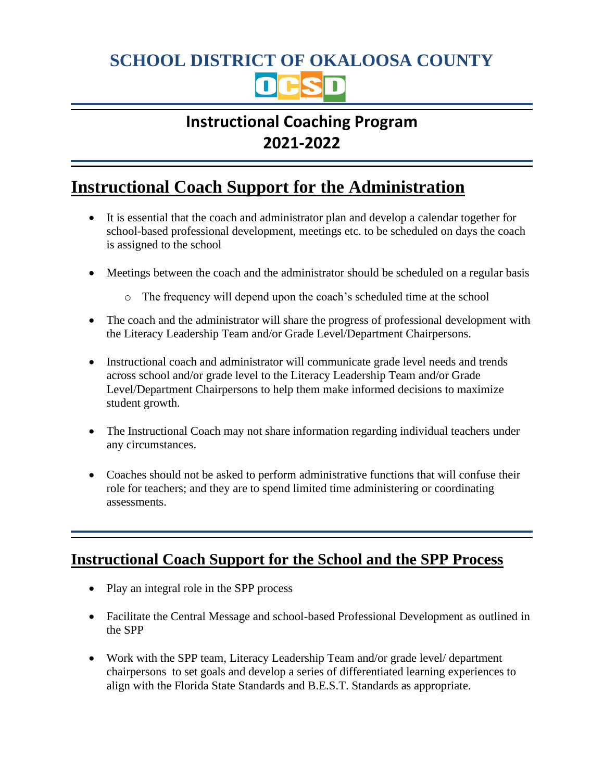# **SCHOOL DISTRICT OF OKALOOSA COUNTY**

## **Instructional Coaching Program 2021-2022**

## **Instructional Coach Support for the Administration**

- It is essential that the coach and administrator plan and develop a calendar together for school-based professional development, meetings etc. to be scheduled on days the coach is assigned to the school
- Meetings between the coach and the administrator should be scheduled on a regular basis
	- o The frequency will depend upon the coach's scheduled time at the school
- The coach and the administrator will share the progress of professional development with the Literacy Leadership Team and/or Grade Level/Department Chairpersons.
- Instructional coach and administrator will communicate grade level needs and trends across school and/or grade level to the Literacy Leadership Team and/or Grade Level/Department Chairpersons to help them make informed decisions to maximize student growth.
- The Instructional Coach may not share information regarding individual teachers under any circumstances.
- Coaches should not be asked to perform administrative functions that will confuse their role for teachers; and they are to spend limited time administering or coordinating assessments.

#### **Instructional Coach Support for the School and the SPP Process**

- Play an integral role in the SPP process
- Facilitate the Central Message and school-based Professional Development as outlined in the SPP
- Work with the SPP team, Literacy Leadership Team and/or grade level/ department chairpersons to set goals and develop a series of differentiated learning experiences to align with the Florida State Standards and B.E.S.T. Standards as appropriate.